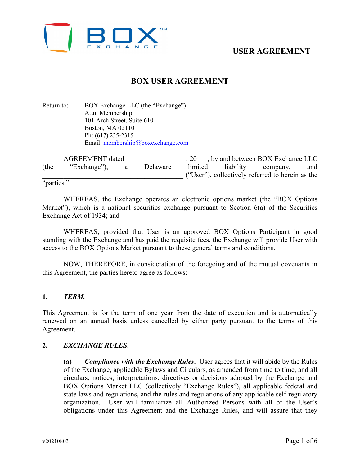

# **BOX USER AGREEMENT**

Return to: BOX Exchange LLC (the "Exchange") Attn: Membership 101 Arch Street, Suite 610 Boston, MA 02110 Ph: (617) 235-2315 Email: [membership@boxexchange.com](mailto:membership@boxexchange.com)

| <b>AGREEMENT</b> dated |              |   |          | $\blacksquare$ , by and between BOX Exchange LLC |  |                                                  |     |
|------------------------|--------------|---|----------|--------------------------------------------------|--|--------------------------------------------------|-----|
| (the                   | "Exchange"), | a | Delaware | limited                                          |  | liability company,                               | and |
|                        |              |   |          |                                                  |  | ("User"), collectively referred to herein as the |     |
| "parties."             |              |   |          |                                                  |  |                                                  |     |

WHEREAS, the Exchange operates an electronic options market (the "BOX Options Market"), which is a national securities exchange pursuant to Section 6(a) of the Securities Exchange Act of 1934; and

WHEREAS, provided that User is an approved BOX Options Participant in good standing with the Exchange and has paid the requisite fees, the Exchange will provide User with access to the BOX Options Market pursuant to these general terms and conditions.

NOW, THEREFORE, in consideration of the foregoing and of the mutual covenants in this Agreement, the parties hereto agree as follows:

### **1.** *TERM.*

This Agreement is for the term of one year from the date of execution and is automatically renewed on an annual basis unless cancelled by either party pursuant to the terms of this Agreement.

### **2.** *EXCHANGE RULES***.**

**(a)** *Compliance with the Exchange Rules***.** User agrees that it will abide by the Rules of the Exchange, applicable Bylaws and Circulars, as amended from time to time, and all circulars, notices, interpretations, directives or decisions adopted by the Exchange and BOX Options Market LLC (collectively "Exchange Rules"), all applicable federal and state laws and regulations, and the rules and regulations of any applicable self-regulatory organization. User will familiarize all Authorized Persons with all of the User's obligations under this Agreement and the Exchange Rules, and will assure that they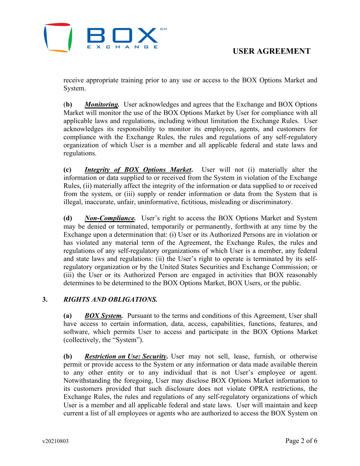

receive appropriate training prior to any use or access to the BOX Options Market and System.

(**b)** *Monitoring.* User acknowledges and agrees that the Exchange and BOX Options Market will monitor the use of the BOX Options Market by User for compliance with all applicable laws and regulations, including without limitation the Exchange Rules. User acknowledges its responsibility to monitor its employees, agents, and customers for compliance with the Exchange Rules, the rules and regulations of any self-regulatory organization of which User is a member and all applicable federal and state laws and regulations.

**(c)** *Integrity of BOX Options Market***.** User will not (i) materially alter the information or data supplied to or received from the System in violation of the Exchange Rules, (ii) materially affect the integrity of the information or data supplied to or received from the system, or (iii) supply or render information or data from the System that is illegal, inaccurate, unfair, uninformative, fictitious, misleading or discriminatory.

**(d)** *Non-Compliance.* User's right to access the BOX Options Market and System may be denied or terminated, temporarily or permanently, forthwith at any time by the Exchange upon a determination that: (i) User or its Authorized Persons are in violation or has violated any material term of the Agreement, the Exchange Rules, the rules and regulations of any self-regulatory organizations of which User is a member, any federal and state laws and regulations: (ii) the User's right to operate is terminated by its selfregulatory organization or by the United States Securities and Exchange Commission; or (iii) the User or its Authorized Person are engaged in activities that BOX reasonably determines to be determined to the BOX Options Market, BOX Users, or the public.

## **3.** *RIGHTS AND OBLIGATIONS.*

**(a)** *BOX System.* Pursuant to the terms and conditions of this Agreement, User shall have access to certain information, data, access, capabilities, functions, features, and software, which permits User to access and participate in the BOX Options Market (collectively, the "System").

**(b)** *Restriction on Use: Security***.** User may not sell, lease, furnish, or otherwise permit or provide access to the System or any information or data made available therein to any other entity or to any individual that is not User's employee or agent. Notwithstanding the foregoing, User may disclose BOX Options Market information to its customers provided that such disclosure does not violate OPRA restrictions, the Exchange Rules, the rules and regulations of any self-regulatory organizations of which User is a member and all applicable federal and state laws. User will maintain and keep current a list of all employees or agents who are authorized to access the BOX System on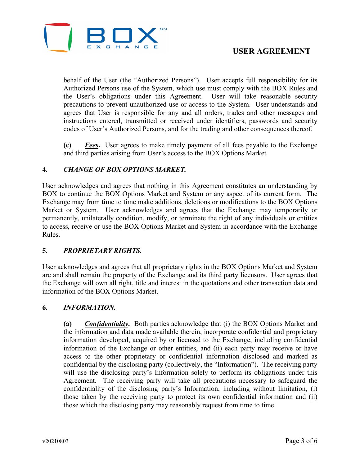

behalf of the User (the "Authorized Persons"). User accepts full responsibility for its Authorized Persons use of the System, which use must comply with the BOX Rules and the User's obligations under this Agreement. User will take reasonable security precautions to prevent unauthorized use or access to the System. User understands and agrees that User is responsible for any and all orders, trades and other messages and instructions entered, transmitted or received under identifiers, passwords and security codes of User's Authorized Persons, and for the trading and other consequences thereof.

**(c)** *Fees***.** User agrees to make timely payment of all fees payable to the Exchange and third parties arising from User's access to the BOX Options Market.

### **4.** *CHANGE OF BOX OPTIONS MARKET.*

User acknowledges and agrees that nothing in this Agreement constitutes an understanding by BOX to continue the BOX Options Market and System or any aspect of its current form. The Exchange may from time to time make additions, deletions or modifications to the BOX Options Market or System. User acknowledges and agrees that the Exchange may temporarily or permanently, unilaterally condition, modify, or terminate the right of any individuals or entities to access, receive or use the BOX Options Market and System in accordance with the Exchange Rules.

### **5.** *PROPRIETARY RIGHTS.*

User acknowledges and agrees that all proprietary rights in the BOX Options Market and System are and shall remain the property of the Exchange and its third party licensors. User agrees that the Exchange will own all right, title and interest in the quotations and other transaction data and information of the BOX Options Market.

### **6.** *INFORMATION.*

**(a)** *Confidentiality***.** Both parties acknowledge that (i) the BOX Options Market and the information and data made available therein, incorporate confidential and proprietary information developed, acquired by or licensed to the Exchange, including confidential information of the Exchange or other entities, and (ii) each party may receive or have access to the other proprietary or confidential information disclosed and marked as confidential by the disclosing party (collectively, the "Information"). The receiving party will use the disclosing party's Information solely to perform its obligations under this Agreement. The receiving party will take all precautions necessary to safeguard the confidentiality of the disclosing party's Information, including without limitation, (i) those taken by the receiving party to protect its own confidential information and (ii) those which the disclosing party may reasonably request from time to time.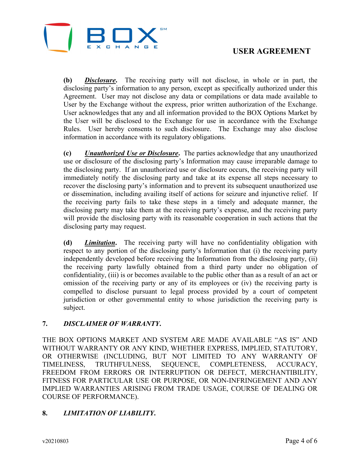

**(b)** *Disclosure***.** The receiving party will not disclose, in whole or in part, the disclosing party's information to any person, except as specifically authorized under this Agreement. User may not disclose any data or compilations or data made available to User by the Exchange without the express, prior written authorization of the Exchange. User acknowledges that any and all information provided to the BOX Options Market by the User will be disclosed to the Exchange for use in accordance with the Exchange Rules. User hereby consents to such disclosure. The Exchange may also disclose information in accordance with its regulatory obligations.

**(c)** *Unauthorized Use or Disclosure***.** The parties acknowledge that any unauthorized use or disclosure of the disclosing party's Information may cause irreparable damage to the disclosing party. If an unauthorized use or disclosure occurs, the receiving party will immediately notify the disclosing party and take at its expense all steps necessary to recover the disclosing party's information and to prevent its subsequent unauthorized use or dissemination, including availing itself of actions for seizure and injunctive relief. If the receiving party fails to take these steps in a timely and adequate manner, the disclosing party may take them at the receiving party's expense, and the receiving party will provide the disclosing party with its reasonable cooperation in such actions that the disclosing party may request.

**(d)** *Limitation***.** The receiving party will have no confidentiality obligation with respect to any portion of the disclosing party's Information that (i) the receiving party independently developed before receiving the Information from the disclosing party, (ii) the receiving party lawfully obtained from a third party under no obligation of confidentiality, (iii) is or becomes available to the public other than as a result of an act or omission of the receiving party or any of its employees or (iv) the receiving party is compelled to disclose pursuant to legal process provided by a court of competent jurisdiction or other governmental entity to whose jurisdiction the receiving party is subject.

## **7.** *DISCLAIMER OF WARRANTY***.**

THE BOX OPTIONS MARKET AND SYSTEM ARE MADE AVAILABLE "AS IS" AND WITHOUT WARRANTY OR ANY KIND, WHETHER EXPRESS, IMPLIED, STATUTORY, OR OTHERWISE (INCLUDING, BUT NOT LIMITED TO ANY WARRANTY OF TIMELINESS, TRUTHFULNESS, SEQUENCE, COMPLETENESS, ACCURACY, FREEDOM FROM ERRORS OR INTERRUPTION OR DEFECT, MERCHANTIBILITY, FITNESS FOR PARTICULAR USE OR PURPOSE, OR NON-INFRINGEMENT AND ANY IMPLIED WARRANTIES ARISING FROM TRADE USAGE, COURSE OF DEALING OR COURSE OF PERFORMANCE).

# **8.** *LIMITATION OF LIABILITY***.**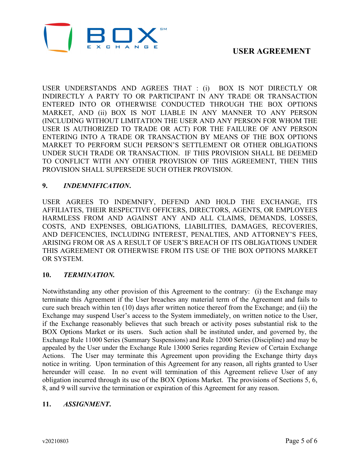

USER UNDERSTANDS AND AGREES THAT : (i) BOX IS NOT DIRECTLY OR INDIRECTLY A PARTY TO OR PARTICIPANT IN ANY TRADE OR TRANSACTION ENTERED INTO OR OTHERWISE CONDUCTED THROUGH THE BOX OPTIONS MARKET, AND (ii) BOX IS NOT LIABLE IN ANY MANNER TO ANY PERSON (INCLUDING WITHOUT LIMITATION THE USER AND ANY PERSON FOR WHOM THE USER IS AUTHORIZED TO TRADE OR ACT) FOR THE FAILURE OF ANY PERSON ENTERING INTO A TRADE OR TRANSACTION BY MEANS OF THE BOX OPTIONS MARKET TO PERFORM SUCH PERSON'S SETTLEMENT OR OTHER OBLIGATIONS UNDER SUCH TRADE OR TRANSACTION. IF THIS PROVISION SHALL BE DEEMED TO CONFLICT WITH ANY OTHER PROVISION OF THIS AGREEMENT, THEN THIS PROVISION SHALL SUPERSEDE SUCH OTHER PROVISION.

### **9.** *INDEMNIFICATION***.**

USER AGREES TO INDEMNIFY, DEFEND AND HOLD THE EXCHANGE, ITS AFFILIATES, THEIR RESPECTIVE OFFICERS, DIRECTORS, AGENTS, OR EMPLOYEES HARMLESS FROM AND AGAINST ANY AND ALL CLAIMS, DEMANDS, LOSSES, COSTS, AND EXPENSES, OBLIGATIONS, LIABILITIES, DAMAGES, RECOVERIES, AND DEFICENCIES, INCLUDING INTEREST, PENALTIES, AND ATTORNEY'S FEES, ARISING FROM OR AS A RESULT OF USER'S BREACH OF ITS OBLIGATIONS UNDER THIS AGREEMENT OR OTHERWISE FROM ITS USE OF THE BOX OPTIONS MARKET OR SYSTEM.

## **10.** *TERMINATION.*

Notwithstanding any other provision of this Agreement to the contrary: (i) the Exchange may terminate this Agreement if the User breaches any material term of the Agreement and fails to cure such breach within ten (10) days after written notice thereof from the Exchange; and (ii) the Exchange may suspend User's access to the System immediately, on written notice to the User, if the Exchange reasonably believes that such breach or activity poses substantial risk to the BOX Options Market or its users. Such action shall be instituted under, and governed by, the Exchange Rule 11000 Series (Summary Suspensions) and Rule 12000 Series (Discipline) and may be appealed by the User under the Exchange Rule 13000 Series regarding Review of Certain Exchange Actions. The User may terminate this Agreement upon providing the Exchange thirty days notice in writing. Upon termination of this Agreement for any reason, all rights granted to User hereunder will cease. In no event will termination of this Agreement relieve User of any obligation incurred through its use of the BOX Options Market. The provisions of Sections 5, 6, 8, and 9 will survive the termination or expiration of this Agreement for any reason.

### **11.** *ASSIGNMENT***.**